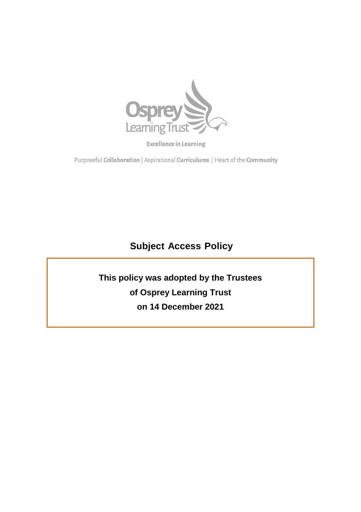

**Excellence in Learning** 

Purposeful Collaboration | Aspirational Curriculums | Heart of the Community

# **Subject Access Policy**

**This policy was adopted by the Trustees of Osprey Learning Trust on 14 December 2021**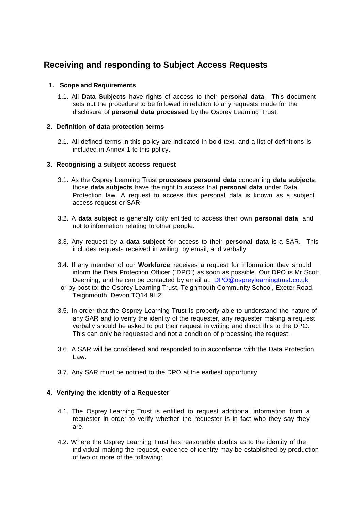# **Receiving and responding to Subject Access Requests**

# **1. Scope and Requirements**

1.1. All **Data Subjects** have rights of access to their **personal data**. This document sets out the procedure to be followed in relation to any requests made for the disclosure of **personal data processed** by the Osprey Learning Trust.

#### **2. Definition of data protection terms**

2.1. All defined terms in this policy are indicated in bold text, and a list of definitions is included in Annex 1 to this policy.

#### **3. Recognising a subject access request**

- 3.1. As the Osprey Learning Trust **processes personal data** concerning **data subjects**, those **data subjects** have the right to access that **personal data** under Data Protection law. A request to access this personal data is known as a subject access request or SAR.
- 3.2. A **data subject** is generally only entitled to access their own **personal data**, and not to information relating to other people.
- 3.3. Any request by a **data subject** for access to their **personal data** is a SAR. This includes requests received in writing, by email, and verbally.
- 3.4. If any member of our **Workforce** receives a request for information they should inform the Data Protection Officer ("DPO") as soon as possible. Our DPO is Mr Scott Deeming, and he can be contacted by email at: [DPO@ospreylearningtrust.co.uk](mailto:scott.deeming@teignmouth.devon.sch.uk)
- [o](mailto:scott.deeming@teignmouth.devon.sch.uk)r by post to: the Osprey Learning Trust, Teignmouth Community School, Exeter Road, Teignmouth, Devon TQ14 9HZ
- 3.5. In order that the Osprey Learning Trust is properly able to understand the nature of any SAR and to verify the identity of the requester, any requester making a request verbally should be asked to put their request in writing and direct this to the DPO. This can only be requested and not a condition of processing the request.
- 3.6. A SAR will be considered and responded to in accordance with the Data Protection Law.
- 3.7. Any SAR must be notified to the DPO at the earliest opportunity.

# **4. Verifying the identity of a Requester**

- 4.1. The Osprey Learning Trust is entitled to request additional information from a requester in order to verify whether the requester is in fact who they say they are.
- 4.2. Where the Osprey Learning Trust has reasonable doubts as to the identity of the individual making the request, evidence of identity may be established by production of two or more of the following: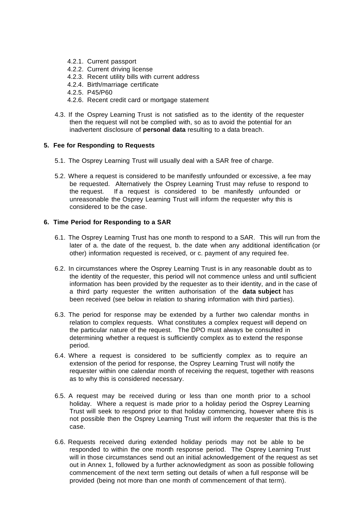- 4.2.1. Current passport
- 4.2.2. Current driving license
- 4.2.3. Recent utility bills with current address
- 4.2.4. Birth/marriage certificate
- 4.2.5. P45/P60
- 4.2.6. Recent credit card or mortgage statement
- 4.3. If the Osprey Learning Trust is not satisfied as to the identity of the requester then the request will not be complied with, so as to avoid the potential for an inadvertent disclosure of **personal data** resulting to a data breach.

#### **5. Fee for Responding to Requests**

- 5.1. The Osprey Learning Trust will usually deal with a SAR free of charge.
- 5.2. Where a request is considered to be manifestly unfounded or excessive, a fee may be requested. Alternatively the Osprey Learning Trust may refuse to respond to the request. If a request is considered to be manifestly unfounded or unreasonable the Osprey Learning Trust will inform the requester why this is considered to be the case.

#### **6. Time Period for Responding to a SAR**

- 6.1. The Osprey Learning Trust has one month to respond to a SAR. This will run from the later of a. the date of the request, b. the date when any additional identification (or other) information requested is received, or c. payment of any required fee.
- 6.2. In circumstances where the Osprey Learning Trust is in any reasonable doubt as to the identity of the requester, this period will not commence unless and until sufficient information has been provided by the requester as to their identity, and in the case of a third party requester the written authorisation of the **data subject** has been received (see below in relation to sharing information with third parties).
- 6.3. The period for response may be extended by a further two calendar months in relation to complex requests. What constitutes a complex request will depend on the particular nature of the request. The DPO must always be consulted in determining whether a request is sufficiently complex as to extend the response period.
- 6.4. Where a request is considered to be sufficiently complex as to require an extension of the period for response, the Osprey Learning Trust will notify the requester within one calendar month of receiving the request, together with reasons as to why this is considered necessary.
- 6.5. A request may be received during or less than one month prior to a school holiday. Where a request is made prior to a holiday period the Osprey Learning Trust will seek to respond prior to that holiday commencing, however where this is not possible then the Osprey Learning Trust will inform the requester that this is the case.
- 6.6. Requests received during extended holiday periods may not be able to be responded to within the one month response period. The Osprey Learning Trust will in those circumstances send out an initial acknowledgement of the request as set out in Annex 1, followed by a further acknowledgment as soon as possible following commencement of the next term setting out details of when a full response will be provided (being not more than one month of commencement of that term).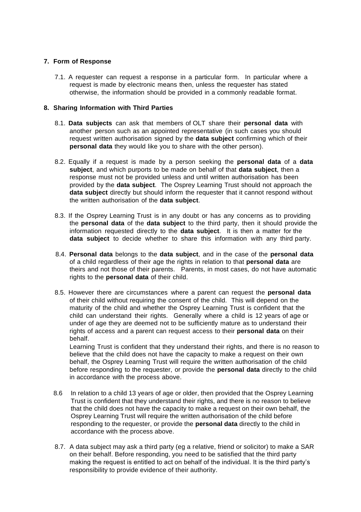#### **7. Form of Response**

7.1. A requester can request a response in a particular form. In particular where a request is made by electronic means then, unless the requester has stated otherwise, the information should be provided in a commonly readable format.

#### **8. Sharing Information with Third Parties**

- 8.1. **Data subjects** can ask that members of OLT share their **personal data** with another person such as an appointed representative (in such cases you should request written authorisation signed by the **data subject** confirming which of their **personal data** they would like you to share with the other person).
- 8.2. Equally if a request is made by a person seeking the **personal data** of a **data subject**, and which purports to be made on behalf of that **data subject**, then a response must not be provided unless and until written authorisation has been provided by the **data subject**. The Osprey Learning Trust should not approach the **data subject** directly but should inform the requester that it cannot respond without the written authorisation of the **data subject**.
- 8.3. If the Osprey Learning Trust is in any doubt or has any concerns as to providing the **personal data** of the **data subject** to the third party, then it should provide the information requested directly to the **data subject**. It is then a matter for the **data subject** to decide whether to share this information with any third party.
- 8.4. **Personal data** belongs to the **data subject**, and in the case of the **personal data** of a child regardless of their age the rights in relation to that **personal data** are theirs and not those of their parents. Parents, in most cases, do not have automatic rights to the **personal data** of their child.
- 8.5. However there are circumstances where a parent can request the **personal data**  of their child without requiring the consent of the child. This will depend on the maturity of the child and whether the Osprey Learning Trust is confident that the child can understand their rights. Generally where a child is 12 years of age or under of age they are deemed not to be sufficiently mature as to understand their rights of access and a parent can request access to their **personal data** on their behalf.

Learning Trust is confident that they understand their rights, and there is no reason to believe that the child does not have the capacity to make a request on their own behalf, the Osprey Learning Trust will require the written authorisation of the child before responding to the requester, or provide the **personal data** directly to the child in accordance with the process above.

- 8.6 In relation to a child 13 years of age or older, then provided that the Osprey Learning Trust is confident that they understand their rights, and there is no reason to believe that the child does not have the capacity to make a request on their own behalf, the Osprey Learning Trust will require the written authorisation of the child before responding to the requester, or provide the **personal data** directly to the child in accordance with the process above.
- 8.7. A data subject may ask a third party (eg a relative, friend or solicitor) to make a SAR on their behalf. Before responding, you need to be satisfied that the third party making the request is entitled to act on behalf of the individual. It is the third party's responsibility to provide evidence of their authority.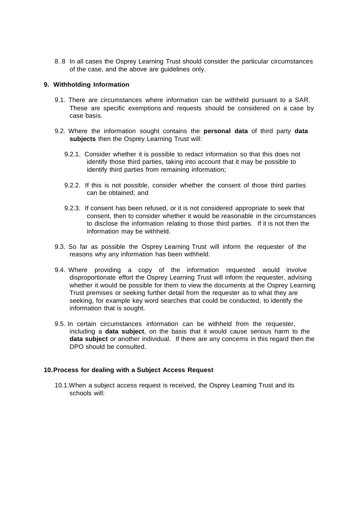8 . 8 In all cases the Osprey Learning Trust should consider the particular circumstances of the case, and the above are guidelines only.

#### **9. Withholding Information**

- 9.1. There are circumstances where information can be withheld pursuant to a SAR. These are specific exemptions and requests should be considered on a case by case basis.
- 9.2. Where the information sought contains the **personal data** of third party **data subjects** then the Osprey Learning Trust will:
	- 9.2.1. Consider whether it is possible to redact information so that this does not identify those third parties, taking into account that it may be possible to identify third parties from remaining information;
	- 9.2.2. If this is not possible, consider whether the consent of those third parties can be obtained; and
	- 9.2.3. If consent has been refused, or it is not considered appropriate to seek that consent, then to consider whether it would be reasonable in the circumstances to disclose the information relating to those third parties. If it is not then the information may be withheld.
- 9.3. So far as possible the Osprey Learning Trust will inform the requester of the reasons why any information has been withheld.
- 9.4. Where providing a copy of the information requested would involve disproportionate effort the Osprey Learning Trust will inform the requester, advising whether it would be possible for them to view the documents at the Osprey Learning Trust premises or seeking further detail from the requester as to what they are seeking, for example key word searches that could be conducted, to identify the information that is sought.
- 9.5. In certain circumstances information can be withheld from the requester, including a **data subject**, on the basis that it would cause serious harm to the **data subject** or another individual. If there are any concerns in this regard then the DPO should be consulted.

#### **10.Process for dealing with a Subject Access Request**

10.1.When a subject access request is received, the Osprey Learning Trust and its schools will: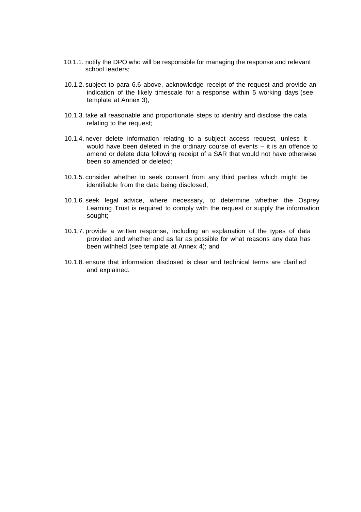- 10.1.1. notify the DPO who will be responsible for managing the response and relevant school leaders;
- 10.1.2. subject to para 6.6 above, acknowledge receipt of the request and provide an indication of the likely timescale for a response within 5 working days (see template at Annex 3);
- 10.1.3. take all reasonable and proportionate steps to identify and disclose the data relating to the request;
- 10.1.4. never delete information relating to a subject access request, unless it would have been deleted in the ordinary course of events – it is an offence to amend or delete data following receipt of a SAR that would not have otherwise been so amended or deleted;
- 10.1.5. consider whether to seek consent from any third parties which might be identifiable from the data being disclosed;
- 10.1.6. seek legal advice, where necessary, to determine whether the Osprey Learning Trust is required to comply with the request or supply the information sought;
- 10.1.7. provide a written response, including an explanation of the types of data provided and whether and as far as possible for what reasons any data has been withheld (see template at Annex 4); and
- 10.1.8. ensure that information disclosed is clear and technical terms are clarified and explained.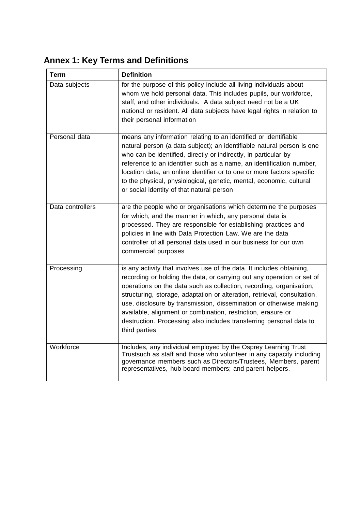**Annex 1: Key Terms and Definitions**

| <b>Term</b>      | <b>Definition</b>                                                                                                                                                                                                                                                                                                                                                                                                                                                                                                                |  |  |
|------------------|----------------------------------------------------------------------------------------------------------------------------------------------------------------------------------------------------------------------------------------------------------------------------------------------------------------------------------------------------------------------------------------------------------------------------------------------------------------------------------------------------------------------------------|--|--|
| Data subjects    | for the purpose of this policy include all living individuals about<br>whom we hold personal data. This includes pupils, our workforce,<br>staff, and other individuals. A data subject need not be a UK<br>national or resident. All data subjects have legal rights in relation to<br>their personal information                                                                                                                                                                                                               |  |  |
| Personal data    | means any information relating to an identified or identifiable<br>natural person (a data subject); an identifiable natural person is one<br>who can be identified, directly or indirectly, in particular by<br>reference to an identifier such as a name, an identification number,<br>location data, an online identifier or to one or more factors specific<br>to the physical, physiological, genetic, mental, economic, cultural<br>or social identity of that natural person                                               |  |  |
| Data controllers | are the people who or organisations which determine the purposes<br>for which, and the manner in which, any personal data is<br>processed. They are responsible for establishing practices and<br>policies in line with Data Protection Law. We are the data<br>controller of all personal data used in our business for our own<br>commercial purposes                                                                                                                                                                          |  |  |
| Processing       | is any activity that involves use of the data. It includes obtaining,<br>recording or holding the data, or carrying out any operation or set of<br>operations on the data such as collection, recording, organisation,<br>structuring, storage, adaptation or alteration, retrieval, consultation,<br>use, disclosure by transmission, dissemination or otherwise making<br>available, alignment or combination, restriction, erasure or<br>destruction. Processing also includes transferring personal data to<br>third parties |  |  |
| Workforce        | Includes, any individual employed by the Osprey Learning Trust<br>Trustsuch as staff and those who volunteer in any capacity including<br>governance members such as Directors/Trustees, Members, parent<br>representatives, hub board members; and parent helpers.                                                                                                                                                                                                                                                              |  |  |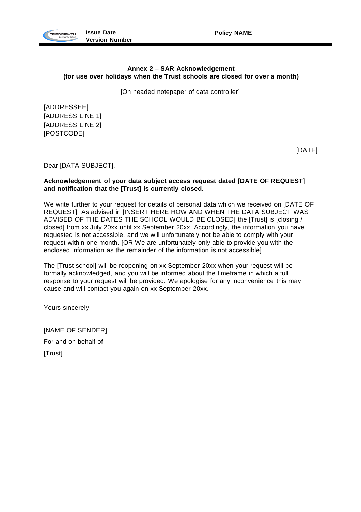



# **Annex 2 – SAR Acknowledgement (for use over holidays when the Trust schools are closed for over a month)**

[On headed notepaper of data controller]

[ADDRESSEE] [ADDRESS LINE 1] [ADDRESS LINE 2] [POSTCODE]

[DATE]

Dear [DATA SUBJECT],

#### **Acknowledgement of your data subject access request dated [DATE OF REQUEST] and notification that the [Trust] is currently closed.**

We write further to your request for details of personal data which we received on [DATE OF REQUEST]. As advised in [INSERT HERE HOW AND WHEN THE DATA SUBJECT WAS ADVISED OF THE DATES THE SCHOOL WOULD BE CLOSED] the [Trust] is [closing / closed] from xx July 20xx until xx September 20xx. Accordingly, the information you have requested is not accessible, and we will unfortunately not be able to comply with your request within one month. [OR We are unfortunately only able to provide you with the enclosed information as the remainder of the information is not accessible]

The [Trust school] will be reopening on xx September 20xx when your request will be formally acknowledged, and you will be informed about the timeframe in which a full response to your request will be provided. We apologise for any inconvenience this may cause and will contact you again on xx September 20xx.

Yours sincerely,

[NAME OF SENDER] For and on behalf of [Trust]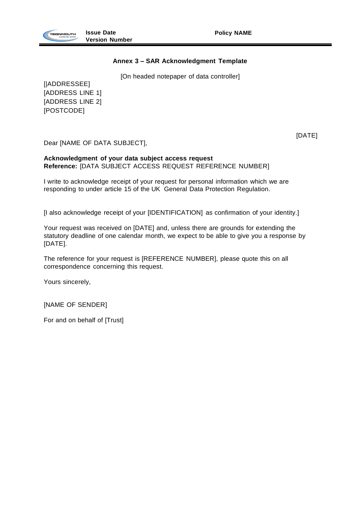

# **Annex 3 – SAR Acknowledgment Template**

[On headed notepaper of data controller]

[|ADDRESSEE] [ADDRESS LINE 1] [ADDRESS LINE 2] [POSTCODE]

Dear [NAME OF DATA SUBJECT],

[DATE]

#### **Acknowledgment of your data subject access request Reference:** [DATA SUBJECT ACCESS REQUEST REFERENCE NUMBER]

I write to acknowledge receipt of your request for personal information which we are responding to under article 15 of the UK General Data Protection Regulation.

[I also acknowledge receipt of your [IDENTIFICATION] as confirmation of your identity.]

Your request was received on [DATE] and, unless there are grounds for extending the statutory deadline of one calendar month, we expect to be able to give you a response by [DATE].

The reference for your request is [REFERENCE NUMBER], please quote this on all correspondence concerning this request.

Yours sincerely,

[NAME OF SENDER]

For and on behalf of [Trust]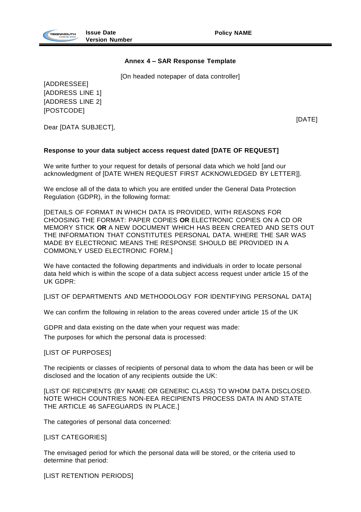

# **Annex 4 – SAR Response Template**

[On headed notepaper of data controller]

[ADDRESSEE] [ADDRESS LINE 1] [ADDRESS LINE 2] [POSTCODE]

Dear [DATA SUBJECT],

[DATE]

# **Response to your data subject access request dated [DATE OF REQUEST]**

We write further to your request for details of personal data which we hold [and our acknowledgment of [DATE WHEN REQUEST FIRST ACKNOWLEDGED BY LETTER]].

We enclose all of the data to which you are entitled under the General Data Protection Regulation (GDPR), in the following format:

[DETAILS OF FORMAT IN WHICH DATA IS PROVIDED, WITH REASONS FOR CHOOSING THE FORMAT: PAPER COPIES **OR** ELECTRONIC COPIES ON A CD OR MEMORY STICK **OR** A NEW DOCUMENT WHICH HAS BEEN CREATED AND SETS OUT THE INFORMATION THAT CONSTITUTES PERSONAL DATA. WHERE THE SAR WAS MADE BY ELECTRONIC MEANS THE RESPONSE SHOULD BE PROVIDED IN A COMMONLY USED ELECTRONIC FORM.]

We have contacted the following departments and individuals in order to locate personal data held which is within the scope of a data subject access request under article 15 of the UK GDPR:

[LIST OF DEPARTMENTS AND METHODOLOGY FOR IDENTIFYING PERSONAL DATA]

We can confirm the following in relation to the areas covered under article 15 of the UK

GDPR and data existing on the date when your request was made:

The purposes for which the personal data is processed:

[LIST OF PURPOSES]

The recipients or classes of recipients of personal data to whom the data has been or will be disclosed and the location of any recipients outside the UK:

[LIST OF RECIPIENTS (BY NAME OR GENERIC CLASS) TO WHOM DATA DISCLOSED. NOTE WHICH COUNTRIES NON-EEA RECIPIENTS PROCESS DATA IN AND STATE THE ARTICLE 46 SAFEGUARDS IN PLACE.]

The categories of personal data concerned:

[LIST CATEGORIES]

The envisaged period for which the personal data will be stored, or the criteria used to determine that period:

[LIST RETENTION PERIODS]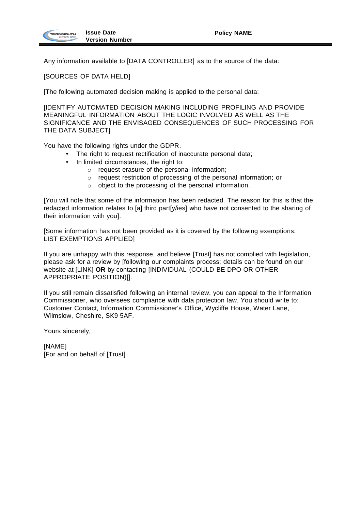Any information available to [DATA CONTROLLER] as to the source of the data:

[SOURCES OF DATA HELD]

[The following automated decision making is applied to the personal data:

[IDENTIFY AUTOMATED DECISION MAKING INCLUDING PROFILING AND PROVIDE MEANINGFUL INFORMATION ABOUT THE LOGIC INVOLVED AS WELL AS THE SIGNIFICANCE AND THE ENVISAGED CONSEQUENCES OF SUCH PROCESSING FOR THE DATA SUBJECT]

You have the following rights under the GDPR.

- The right to request rectification of inaccurate personal data;
- In limited circumstances, the right to:
	- o request erasure of the personal information;
	- o request restriction of processing of the personal information; or
	- o object to the processing of the personal information.

[You will note that some of the information has been redacted. The reason for this is that the redacted information relates to [a] third part[y/ies] who have not consented to the sharing of their information with you].

[Some information has not been provided as it is covered by the following exemptions: LIST EXEMPTIONS APPLIED]

If you are unhappy with this response, and believe [Trust] has not complied with legislation, please ask for a review by [following our complaints process; details can be found on our website at [LINK] **OR** by contacting [INDIVIDUAL (COULD BE DPO OR OTHER APPROPRIATE POSITION)]].

If you still remain dissatisfied following an internal review, you can appeal to the Information Commissioner, who oversees compliance with data protection law. You should write to: Customer Contact, Information Commissioner's Office, Wycliffe House, Water Lane, Wilmslow, Cheshire, SK9 5AF.

Yours sincerely,

[NAME] [For and on behalf of [Trust]